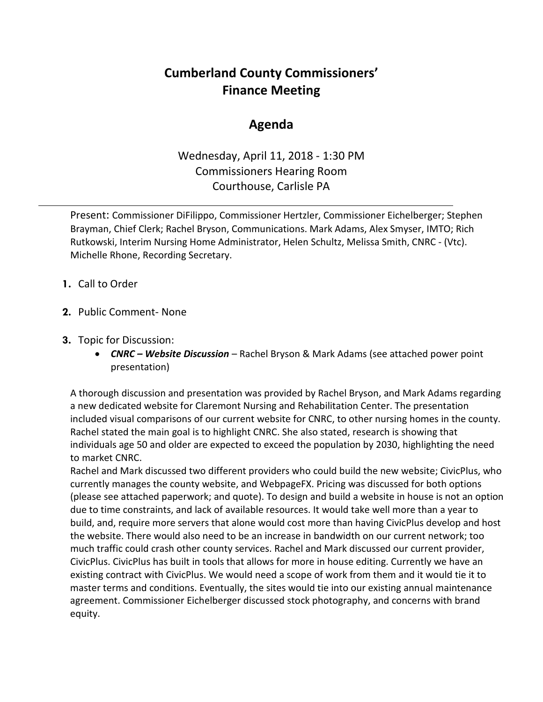## **Cumberland County Commissioners' Finance Meeting**

## **Agenda**

Wednesday, April 11, 2018 - 1:30 PM Commissioners Hearing Room Courthouse, Carlisle PA

Present: Commissioner DiFilippo, Commissioner Hertzler, Commissioner Eichelberger; Stephen Brayman, Chief Clerk; Rachel Bryson, Communications. Mark Adams, Alex Smyser, IMTO; Rich Rutkowski, Interim Nursing Home Administrator, Helen Schultz, Melissa Smith, CNRC - (Vtc). Michelle Rhone, Recording Secretary.

- **1.** Call to Order
- **2.** Public Comment- None
- **3.** Topic for Discussion:
	- *CNRC Website Discussion* Rachel Bryson & Mark Adams (see attached power point presentation)

A thorough discussion and presentation was provided by Rachel Bryson, and Mark Adams regarding a new dedicated website for Claremont Nursing and Rehabilitation Center. The presentation included visual comparisons of our current website for CNRC, to other nursing homes in the county. Rachel stated the main goal is to highlight CNRC. She also stated, research is showing that individuals age 50 and older are expected to exceed the population by 2030, highlighting the need to market CNRC.

Rachel and Mark discussed two different providers who could build the new website; CivicPlus, who currently manages the county website, and WebpageFX. Pricing was discussed for both options (please see attached paperwork; and quote). To design and build a website in house is not an option due to time constraints, and lack of available resources. It would take well more than a year to build, and, require more servers that alone would cost more than having CivicPlus develop and host the website. There would also need to be an increase in bandwidth on our current network; too much traffic could crash other county services. Rachel and Mark discussed our current provider, CivicPlus. CivicPlus has built in tools that allows for more in house editing. Currently we have an existing contract with CivicPlus. We would need a scope of work from them and it would tie it to master terms and conditions. Eventually, the sites would tie into our existing annual maintenance agreement. Commissioner Eichelberger discussed stock photography, and concerns with brand equity.